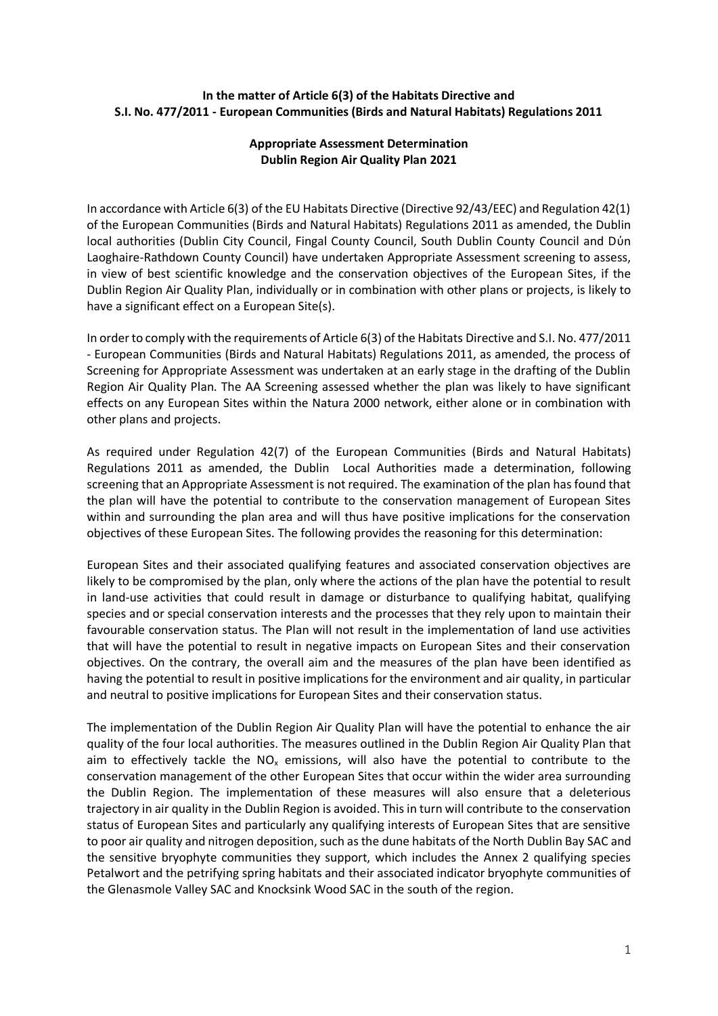## **In the matter of Article 6(3) of the Habitats Directive and S.I. No. 477/2011 - European Communities (Birds and Natural Habitats) Regulations 2011**

## **Appropriate Assessment Determination Dublin Region Air Quality Plan 2021**

In accordance with Article 6(3) of the EU Habitats Directive (Directive 92/43/EEC) and Regulation 42(1) of the European Communities (Birds and Natural Habitats) Regulations 2011 as amended, the Dublin local authorities (Dublin City Council, Fingal County Council, South Dublin County Council and Dύn Laoghaire-Rathdown County Council) have undertaken Appropriate Assessment screening to assess, in view of best scientific knowledge and the conservation objectives of the European Sites, if the Dublin Region Air Quality Plan, individually or in combination with other plans or projects, is likely to have a significant effect on a European Site(s).

In order to comply with the requirements of Article 6(3) of the Habitats Directive and S.I. No. 477/2011 - European Communities (Birds and Natural Habitats) Regulations 2011, as amended, the process of Screening for Appropriate Assessment was undertaken at an early stage in the drafting of the Dublin Region Air Quality Plan. The AA Screening assessed whether the plan was likely to have significant effects on any European Sites within the Natura 2000 network, either alone or in combination with other plans and projects.

As required under Regulation 42(7) of the European Communities (Birds and Natural Habitats) Regulations 2011 as amended, the Dublin Local Authorities made a determination, following screening that an Appropriate Assessment is not required. The examination of the plan has found that the plan will have the potential to contribute to the conservation management of European Sites within and surrounding the plan area and will thus have positive implications for the conservation objectives of these European Sites. The following provides the reasoning for this determination:

European Sites and their associated qualifying features and associated conservation objectives are likely to be compromised by the plan, only where the actions of the plan have the potential to result in land-use activities that could result in damage or disturbance to qualifying habitat, qualifying species and or special conservation interests and the processes that they rely upon to maintain their favourable conservation status. The Plan will not result in the implementation of land use activities that will have the potential to result in negative impacts on European Sites and their conservation objectives. On the contrary, the overall aim and the measures of the plan have been identified as having the potential to result in positive implications for the environment and air quality, in particular and neutral to positive implications for European Sites and their conservation status.

The implementation of the Dublin Region Air Quality Plan will have the potential to enhance the air quality of the four local authorities. The measures outlined in the Dublin Region Air Quality Plan that aim to effectively tackle the  $NO<sub>x</sub>$  emissions, will also have the potential to contribute to the conservation management of the other European Sites that occur within the wider area surrounding the Dublin Region. The implementation of these measures will also ensure that a deleterious trajectory in air quality in the Dublin Region is avoided. This in turn will contribute to the conservation status of European Sites and particularly any qualifying interests of European Sites that are sensitive to poor air quality and nitrogen deposition, such as the dune habitats of the North Dublin Bay SAC and the sensitive bryophyte communities they support, which includes the Annex 2 qualifying species Petalwort and the petrifying spring habitats and their associated indicator bryophyte communities of the Glenasmole Valley SAC and Knocksink Wood SAC in the south of the region.